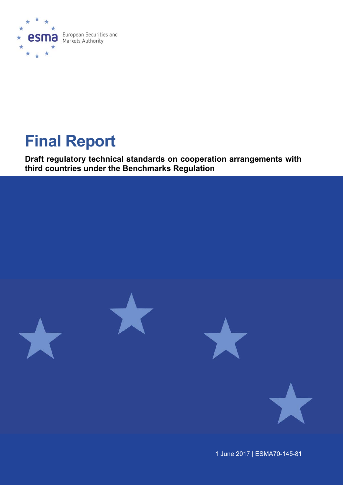

# **Final Report**

**Draft regulatory technical standards on cooperation arrangements with third countries under the Benchmarks Regulation** 



1 June 2017 | ESMA70-145-81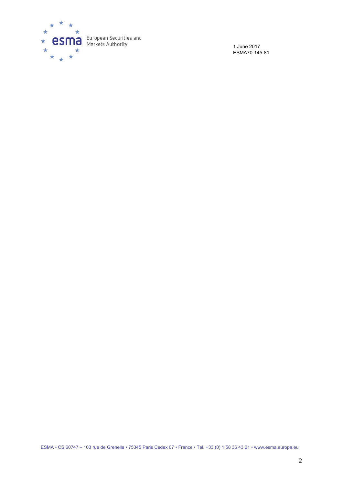

1 June 2017 ESMA70-145-81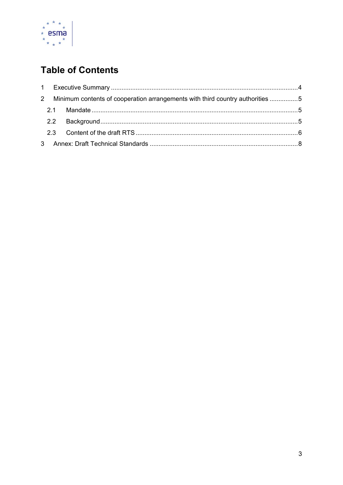

# **Table of Contents**

|  | 2 Minimum contents of cooperation arrangements with third country authorities 5 |  |
|--|---------------------------------------------------------------------------------|--|
|  |                                                                                 |  |
|  |                                                                                 |  |
|  |                                                                                 |  |
|  |                                                                                 |  |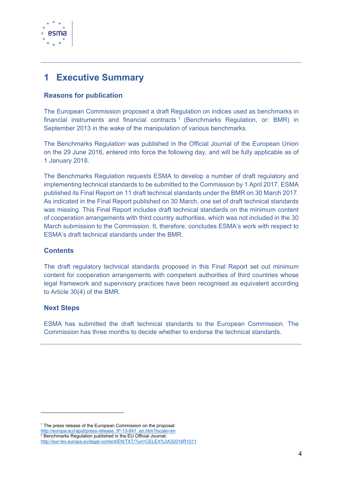

### **1 Executive Summary**

#### **Reasons for publication**

The European Commission proposed a draft Regulation on indices used as benchmarks in financial instruments and financial contracts 1 (Benchmarks Regulation, or: BMR) in September 2013 in the wake of the manipulation of various benchmarks.

The Benchmarks Regulation<sup>2</sup> was published in the Official Journal of the European Union on the 29 June 2016, entered into force the following day, and will be fully applicable as of 1 January 2018.

The Benchmarks Regulation requests ESMA to develop a number of draft regulatory and implementing technical standards to be submitted to the Commission by 1 April 2017. ESMA published its Final Report on 11 draft technical standards under the BMR on 30 March 2017. As indicated in the Final Report published on 30 March, one set of draft technical standards was missing. This Final Report includes draft technical standards on the minimum content of cooperation arrangements with third country authorities, which was not included in the 30 March submission to the Commission. It, therefore, concludes ESMA's work with respect to ESMA's draft technical standards under the BMR.

#### **Contents**

The draft regulatory technical standards proposed in this Final Report set out minimum content for cooperation arrangements with competent authorities of third countries whose legal framework and supervisory practices have been recognised as equivalent according to Article 30(4) of the BMR.

#### **Next Steps**

1

ESMA has submitted the draft technical standards to the European Commission. The Commission has three months to decide whether to endorse the technical standards.

<u>http://europa.eu/rapid/press-release\_IP-13-841\_en.htm?locale=en</u><br><sup>2</sup> Benchmarks Regulation published in the EU Official Journal:

<sup>&</sup>lt;sup>1</sup> The press release of the European Commission on the proposal:

http://eur-lex.europa.eu/legal-content/EN/TXT/?uri=CELEX%3A32016R1011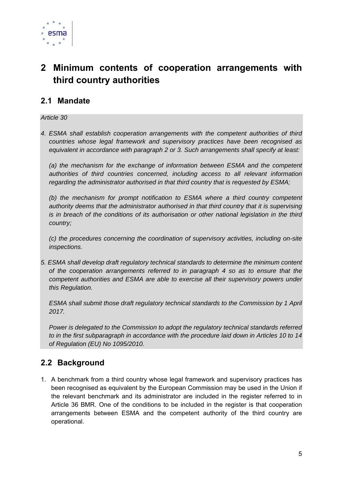

# **2 Minimum contents of cooperation arrangements with third country authorities**

### **2.1 Mandate**

*Article 30* 

*4. ESMA shall establish cooperation arrangements with the competent authorities of third countries whose legal framework and supervisory practices have been recognised as equivalent in accordance with paragraph 2 or 3. Such arrangements shall specify at least:* 

 *(a) the mechanism for the exchange of information between ESMA and the competent authorities of third countries concerned, including access to all relevant information regarding the administrator authorised in that third country that is requested by ESMA;* 

 *(b) the mechanism for prompt notification to ESMA where a third country competent authority deems that the administrator authorised in that third country that it is supervising is in breach of the conditions of its authorisation or other national legislation in the third country;* 

 *(c) the procedures concerning the coordination of supervisory activities, including on-site inspections.* 

*5. ESMA shall develop draft regulatory technical standards to determine the minimum content of the cooperation arrangements referred to in paragraph 4 so as to ensure that the competent authorities and ESMA are able to exercise all their supervisory powers under this Regulation.* 

 *ESMA shall submit those draft regulatory technical standards to the Commission by 1 April 2017.* 

 *Power is delegated to the Commission to adopt the regulatory technical standards referred to in the first subparagraph in accordance with the procedure laid down in Articles 10 to 14 of Regulation (EU) No 1095/2010.* 

### **2.2 Background**

1. A benchmark from a third country whose legal framework and supervisory practices has been recognised as equivalent by the European Commission may be used in the Union if the relevant benchmark and its administrator are included in the register referred to in Article 36 BMR. One of the conditions to be included in the register is that cooperation arrangements between ESMA and the competent authority of the third country are operational.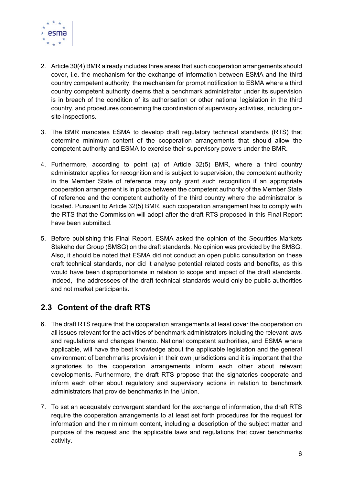

- 2. Article 30(4) BMR already includes three areas that such cooperation arrangements should cover, i.e. the mechanism for the exchange of information between ESMA and the third country competent authority, the mechanism for prompt notification to ESMA where a third country competent authority deems that a benchmark administrator under its supervision is in breach of the condition of its authorisation or other national legislation in the third country, and procedures concerning the coordination of supervisory activities, including onsite-inspections.
- 3. The BMR mandates ESMA to develop draft regulatory technical standards (RTS) that determine minimum content of the cooperation arrangements that should allow the competent authority and ESMA to exercise their supervisory powers under the BMR.
- 4. Furthermore, according to point (a) of Article 32(5) BMR, where a third country administrator applies for recognition and is subject to supervision, the competent authority in the Member State of reference may only grant such recognition if an appropriate cooperation arrangement is in place between the competent authority of the Member State of reference and the competent authority of the third country where the administrator is located. Pursuant to Article 32(5) BMR, such cooperation arrangement has to comply with the RTS that the Commission will adopt after the draft RTS proposed in this Final Report have been submitted.
- 5. Before publishing this Final Report, ESMA asked the opinion of the Securities Markets Stakeholder Group (SMSG) on the draft standards. No opinion was provided by the SMSG. Also, it should be noted that ESMA did not conduct an open public consultation on these draft technical standards, nor did it analyse potential related costs and benefits, as this would have been disproportionate in relation to scope and impact of the draft standards. Indeed, the addressees of the draft technical standards would only be public authorities and not market participants.

### **2.3 Content of the draft RTS**

- 6. The draft RTS require that the cooperation arrangements at least cover the cooperation on all issues relevant for the activities of benchmark administrators including the relevant laws and regulations and changes thereto. National competent authorities, and ESMA where applicable, will have the best knowledge about the applicable legislation and the general environment of benchmarks provision in their own jurisdictions and it is important that the signatories to the cooperation arrangements inform each other about relevant developments. Furthermore, the draft RTS propose that the signatories cooperate and inform each other about regulatory and supervisory actions in relation to benchmark administrators that provide benchmarks in the Union.
- 7. To set an adequately convergent standard for the exchange of information, the draft RTS require the cooperation arrangements to at least set forth procedures for the request for information and their minimum content, including a description of the subject matter and purpose of the request and the applicable laws and regulations that cover benchmarks activity.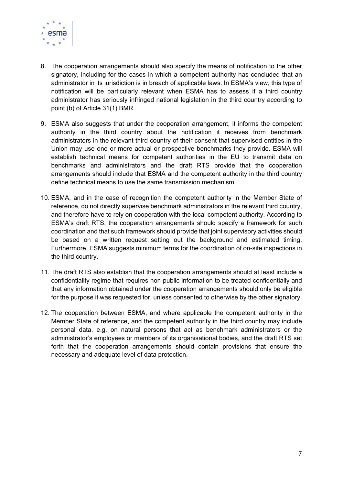

- 8. The cooperation arrangements should also specify the means of notification to the other signatory, including for the cases in which a competent authority has concluded that an administrator in its jurisdiction is in breach of applicable laws. In ESMA's view, this type of notification will be particularly relevant when ESMA has to assess if a third country administrator has seriously infringed national legislation in the third country according to point (b) of Article 31(1) BMR.
- 9. ESMA also suggests that under the cooperation arrangement, it informs the competent authority in the third country about the notification it receives from benchmark administrators in the relevant third country of their consent that supervised entities in the Union may use one or more actual or prospective benchmarks they provide. ESMA will establish technical means for competent authorities in the EU to transmit data on benchmarks and administrators and the draft RTS provide that the cooperation arrangements should include that ESMA and the competent authority in the third country define technical means to use the same transmission mechanism.
- 10. ESMA, and in the case of recognition the competent authority in the Member State of reference, do not directly supervise benchmark administrators in the relevant third country, and therefore have to rely on cooperation with the local competent authority. According to ESMA's draft RTS, the cooperation arrangements should specify a framework for such coordination and that such framework should provide that joint supervisory activities should be based on a written request setting out the background and estimated timing. Furthermore, ESMA suggests minimum terms for the coordination of on-site inspections in the third country.
- 11. The draft RTS also establish that the cooperation arrangements should at least include a confidentiality regime that requires non-public information to be treated confidentially and that any information obtained under the cooperation arrangements should only be eligible for the purpose it was requested for, unless consented to otherwise by the other signatory.
- 12. The cooperation between ESMA, and where applicable the competent authority in the Member State of reference, and the competent authority in the third country may include personal data, e.g. on natural persons that act as benchmark administrators or the administrator's employees or members of its organisational bodies, and the draft RTS set forth that the cooperation arrangements should contain provisions that ensure the necessary and adequate level of data protection.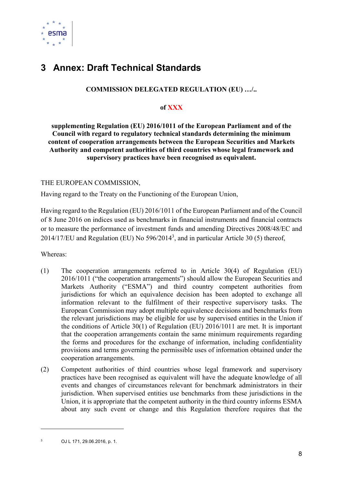

# **3 Annex: Draft Technical Standards**

#### **COMMISSION DELEGATED REGULATION (EU) …/..**

#### **of XXX**

**supplementing Regulation (EU) 2016/1011 of the European Parliament and of the Council with regard to regulatory technical standards determining the minimum content of cooperation arrangements between the European Securities and Markets Authority and competent authorities of third countries whose legal framework and supervisory practices have been recognised as equivalent.** 

#### THE EUROPEAN COMMISSION,

Having regard to the Treaty on the Functioning of the European Union,

Having regard to the Regulation (EU) 2016/1011 of the European Parliament and of the Council of 8 June 2016 on indices used as benchmarks in financial instruments and financial contracts or to measure the performance of investment funds and amending Directives 2008/48/EC and  $2014/17/EU$  and Regulation (EU) No  $596/2014^3$ , and in particular Article 30 (5) thereof,

Whereas:

- (1) The cooperation arrangements referred to in Article 30(4) of Regulation (EU) 2016/1011 ("the cooperation arrangements") should allow the European Securities and Markets Authority ("ESMA") and third country competent authorities from jurisdictions for which an equivalence decision has been adopted to exchange all information relevant to the fulfilment of their respective supervisory tasks. The European Commission may adopt multiple equivalence decisions and benchmarks from the relevant jurisdictions may be eligible for use by supervised entities in the Union if the conditions of Article 30(1) of Regulation (EU) 2016/1011 are met. It is important that the cooperation arrangements contain the same minimum requirements regarding the forms and procedures for the exchange of information, including confidentiality provisions and terms governing the permissible uses of information obtained under the cooperation arrangements.
- (2) Competent authorities of third countries whose legal framework and supervisory practices have been recognised as equivalent will have the adequate knowledge of all events and changes of circumstances relevant for benchmark administrators in their jurisdiction. When supervised entities use benchmarks from these jurisdictions in the Union, it is appropriate that the competent authority in the third country informs ESMA about any such event or change and this Regulation therefore requires that the

 $\overline{a}$ 

 $\overline{\mathbf{3}}$ OJ L 171, 29.06.2016, p. 1.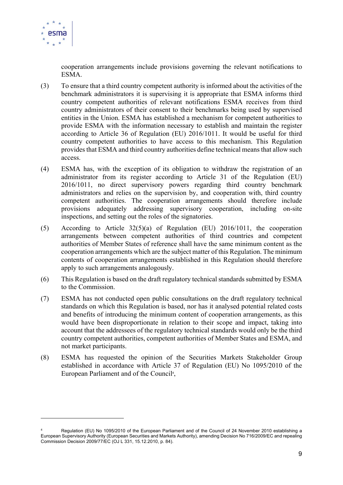

 $\overline{a}$ 

cooperation arrangements include provisions governing the relevant notifications to ESMA.

- (3) To ensure that a third country competent authority is informed about the activities of the benchmark administrators it is supervising it is appropriate that ESMA informs third country competent authorities of relevant notifications ESMA receives from third country administrators of their consent to their benchmarks being used by supervised entities in the Union. ESMA has established a mechanism for competent authorities to provide ESMA with the information necessary to establish and maintain the register according to Article 36 of Regulation (EU) 2016/1011. It would be useful for third country competent authorities to have access to this mechanism. This Regulation provides that ESMA and third country authorities define technical means that allow such access.
- (4) ESMA has, with the exception of its obligation to withdraw the registration of an administrator from its register according to Article 31 of the Regulation (EU) 2016/1011, no direct supervisory powers regarding third country benchmark administrators and relies on the supervision by, and cooperation with, third country competent authorities. The cooperation arrangements should therefore include provisions adequately addressing supervisory cooperation, including on-site inspections, and setting out the roles of the signatories.
- (5) According to Article 32(5)(a) of Regulation (EU) 2016/1011, the cooperation arrangements between competent authorities of third countries and competent authorities of Member States of reference shall have the same minimum content as the cooperation arrangements which are the subject matter of this Regulation. The minimum contents of cooperation arrangements established in this Regulation should therefore apply to such arrangements analogously.
- (6) This Regulation is based on the draft regulatory technical standards submitted by ESMA to the Commission.
- (7) ESMA has not conducted open public consultations on the draft regulatory technical standards on which this Regulation is based, nor has it analysed potential related costs and benefits of introducing the minimum content of cooperation arrangements, as this would have been disproportionate in relation to their scope and impact, taking into account that the addressees of the regulatory technical standards would only be the third country competent authorities, competent authorities of Member States and ESMA, and not market participants.
- (8) ESMA has requested the opinion of the Securities Markets Stakeholder Group established in accordance with Article 37 of Regulation (EU) No 1095/2010 of the European Parliament and of the Council<sup>4</sup>,

<sup>4</sup> Regulation (EU) No 1095/2010 of the European Parliament and of the Council of 24 November 2010 establishing a European Supervisory Authority (European Securities and Markets Authority), amending Decision No 716/2009/EC and repealing Commission Decision 2009/77/EC (OJ L 331, 15.12.2010, p. 84).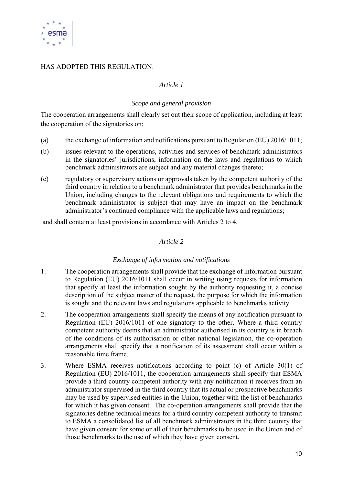

#### HAS ADOPTED THIS REGULATION:

#### *Article 1*

#### *Scope and general provision*

The cooperation arrangements shall clearly set out their scope of application, including at least the cooperation of the signatories on:

- (a) the exchange of information and notifications pursuant to Regulation (EU) 2016/1011;
- (b) issues relevant to the operations, activities and services of benchmark administrators in the signatories' jurisdictions, information on the laws and regulations to which benchmark administrators are subject and any material changes thereto;
- (c) regulatory or supervisory actions or approvals taken by the competent authority of the third country in relation to a benchmark administrator that provides benchmarks in the Union, including changes to the relevant obligations and requirements to which the benchmark administrator is subject that may have an impact on the benchmark administrator's continued compliance with the applicable laws and regulations;

and shall contain at least provisions in accordance with Articles 2 to 4.

#### *Article 2*

#### *Exchange of information and notifications*

- 1. The cooperation arrangements shall provide that the exchange of information pursuant to Regulation (EU) 2016/1011 shall occur in writing using requests for information that specify at least the information sought by the authority requesting it, a concise description of the subject matter of the request, the purpose for which the information is sought and the relevant laws and regulations applicable to benchmarks activity.
- 2. The cooperation arrangements shall specify the means of any notification pursuant to Regulation (EU) 2016/1011 of one signatory to the other. Where a third country competent authority deems that an administrator authorised in its country is in breach of the conditions of its authorisation or other national legislation, the co-operation arrangements shall specify that a notification of its assessment shall occur within a reasonable time frame.
- 3. Where ESMA receives notifications according to point (c) of Article 30(1) of Regulation (EU) 2016/1011, the cooperation arrangements shall specify that ESMA provide a third country competent authority with any notification it receives from an administrator supervised in the third country that its actual or prospective benchmarks may be used by supervised entities in the Union, together with the list of benchmarks for which it has given consent. The co-operation arrangements shall provide that the signatories define technical means for a third country competent authority to transmit to ESMA a consolidated list of all benchmark administrators in the third country that have given consent for some or all of their benchmarks to be used in the Union and of those benchmarks to the use of which they have given consent.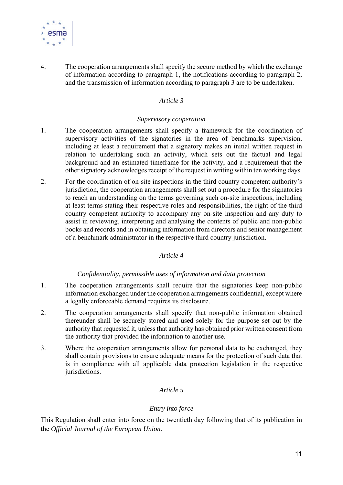

4. The cooperation arrangements shall specify the secure method by which the exchange of information according to paragraph 1, the notifications according to paragraph 2, and the transmission of information according to paragraph 3 are to be undertaken.

#### *Article 3*

#### *Supervisory cooperation*

- 1. The cooperation arrangements shall specify a framework for the coordination of supervisory activities of the signatories in the area of benchmarks supervision, including at least a requirement that a signatory makes an initial written request in relation to undertaking such an activity, which sets out the factual and legal background and an estimated timeframe for the activity, and a requirement that the other signatory acknowledges receipt of the request in writing within ten working days.
- 2. For the coordination of on-site inspections in the third country competent authority's jurisdiction, the cooperation arrangements shall set out a procedure for the signatories to reach an understanding on the terms governing such on-site inspections, including at least terms stating their respective roles and responsibilities, the right of the third country competent authority to accompany any on-site inspection and any duty to assist in reviewing, interpreting and analysing the contents of public and non-public books and records and in obtaining information from directors and senior management of a benchmark administrator in the respective third country jurisdiction.

#### *Article 4*

#### *Confidentiality, permissible uses of information and data protection*

- 1. The cooperation arrangements shall require that the signatories keep non-public information exchanged under the cooperation arrangements confidential, except where a legally enforceable demand requires its disclosure.
- 2. The cooperation arrangements shall specify that non-public information obtained thereunder shall be securely stored and used solely for the purpose set out by the authority that requested it, unless that authority has obtained prior written consent from the authority that provided the information to another use.
- 3. Where the cooperation arrangements allow for personal data to be exchanged, they shall contain provisions to ensure adequate means for the protection of such data that is in compliance with all applicable data protection legislation in the respective jurisdictions.

#### *Article 5*

#### *Entry into force*

This Regulation shall enter into force on the twentieth day following that of its publication in the *Official Journal of the European Union*.